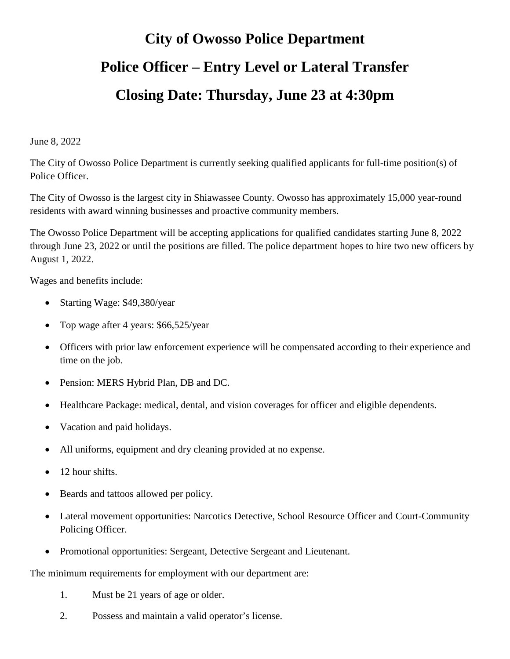## **City of Owosso Police Department Police Officer – Entry Level or Lateral Transfer Closing Date: Thursday, June 23 at 4:30pm**

June 8, 2022

The City of Owosso Police Department is currently seeking qualified applicants for full-time position(s) of Police Officer.

The City of Owosso is the largest city in Shiawassee County. Owosso has approximately 15,000 year-round residents with award winning businesses and proactive community members.

The Owosso Police Department will be accepting applications for qualified candidates starting June 8, 2022 through June 23, 2022 or until the positions are filled. The police department hopes to hire two new officers by August 1, 2022.

Wages and benefits include:

- Starting Wage: \$49,380/year
- Top wage after 4 years: \$66,525/year
- Officers with prior law enforcement experience will be compensated according to their experience and time on the job.
- Pension: MERS Hybrid Plan, DB and DC.
- Healthcare Package: medical, dental, and vision coverages for officer and eligible dependents.
- Vacation and paid holidays.
- All uniforms, equipment and dry cleaning provided at no expense.
- 12 hour shifts.
- Beards and tattoos allowed per policy.
- Lateral movement opportunities: Narcotics Detective, School Resource Officer and Court-Community Policing Officer.
- Promotional opportunities: Sergeant, Detective Sergeant and Lieutenant.

The minimum requirements for employment with our department are:

- 1. Must be 21 years of age or older.
- 2. Possess and maintain a valid operator's license.